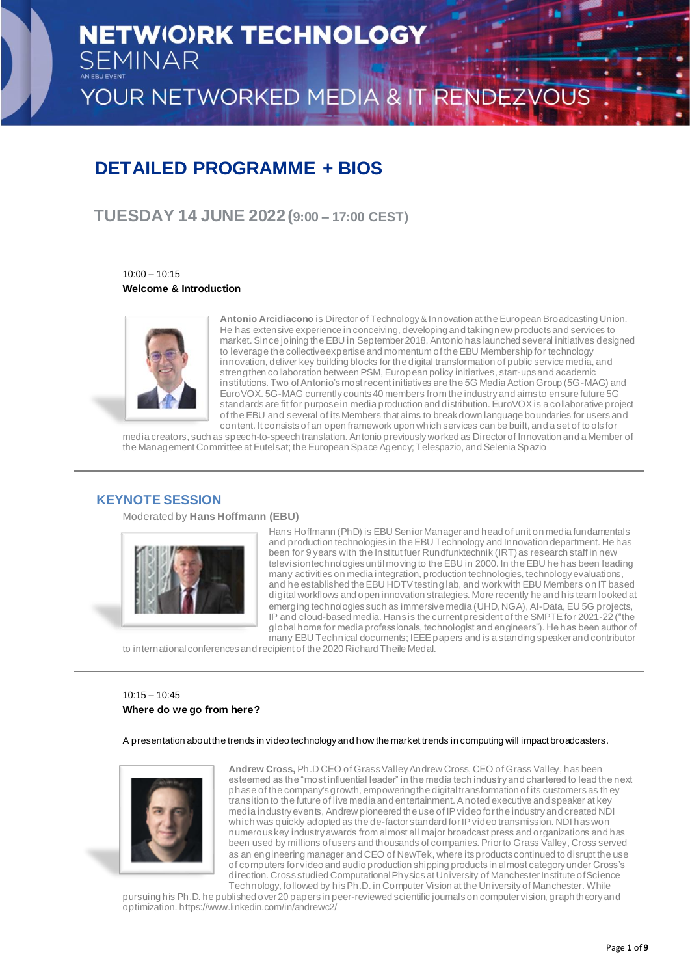## **DETAILED PROGRAMME + BIOS**

**TUESDAY 14 JUNE 2022 (9:00 – 17:00 CEST)**

10:00 – 10:15 **Welcome & Introduction**



**Antonio Arcidiacono** is Director of Technology & Innovation at the European Broadcasting Union. He has extensive experience in conceiving, developing and taking new products and services to market. Since joining the EBU in September 2018, Antonio has launched several initiatives designed to leverage the collective expertise and momentum of the EBU Membership for technology innovation, deliver key building blocks for the digital transformation of public service media, and strengthen collaboration between PSM, European policy initiatives, start-ups and academic institutions. Two of Antonio's most recent initiatives are the 5G Media Action Group (5G-MAG) and EuroVOX. 5G-MAG currently counts 40 members from the industry and aims to ensure future 5G standards are fit for purpose in media production and distribution. EuroVOX is a collaborative project of the EBU and several of its Members that aims to break down language boundaries for users and content. It consists of an open framework upon which services can be built, and a set of to ols for

media creators, such as speech-to-speech translation. Antonio previously worked as Director of Innovation and a Member of the Management Committee at Eutelsat; the European Space Agency; Telespazio, and Selenia Spazio

## **KEYNOTE SESSION**

Moderated by **Hans Hoffmann (EBU)**



Hans Hoffmann (PhD) is EBU Senior Manager and head of unit on media fundamentals and production technologies in the EBU Technology and Innovation department. He has been for 9 years with the Institut fuer Rundfunktechnik (IRT) as research staff in new television technologies until moving to the EBU in 2000. In the EBU he has been leading many activities on media integration, production technologies, technology evaluations, and he established the EBU HDTV testing lab, and work with EBU Members on IT based digital workflows and open innovation strategies. More recently he and his team looked at emerging technologies such as immersive media (UHD, NGA), AI-Data, EU 5G projects, IP and cloud-based media. Hans is the current president of the SMPTE for 2021-22 ("the global home for media professionals, technologist and engineers"). He has been author of many EBU Technical documents; IEEE papers and is a standing speaker and contributor

to international conferences and recipient of the 2020 Richard Theile Medal.

## 10:15 – 10:45 **Where do we go from here?**

A presentation about the trends in video technology and how the market trends in computing will impact broadcasters.



**Andrew Cross,** Ph.D CEO of Grass Valley Andrew Cross, CEO of Grass Valley, has been esteemed as the "most influential leader" in the media tech industry and chartered to lead the next phase of the company's growth, empowering the digital transformation of its customers as th ey transition to the future of live media and entertainment. A noted executive and speaker at key media industry events, Andrew pioneered the use of IP video for the industry and created NDI which was quickly adopted as the de-factor standard for IP video transmission. NDI has won numerous key industry awards from almost all major broadcast press and organizations and has been used by millions of users and thousands of companies. Prior to Grass Valley, Cross served as an engineering manager and CEO of NewTek, where its products continued to disrupt the use of computers for video and audio production shipping products in almost category under Cross's direction. Cross studied Computational Physics at University of Manchester Institute of Science

Technology, followed by his Ph.D. in Computer Vision at the University of Manchester. While pursuing his Ph.D. he published over 20 papers in peer-reviewed scientific journals on computer vision, graph theory and optimization. <https://www.linkedin.com/in/andrewc2/>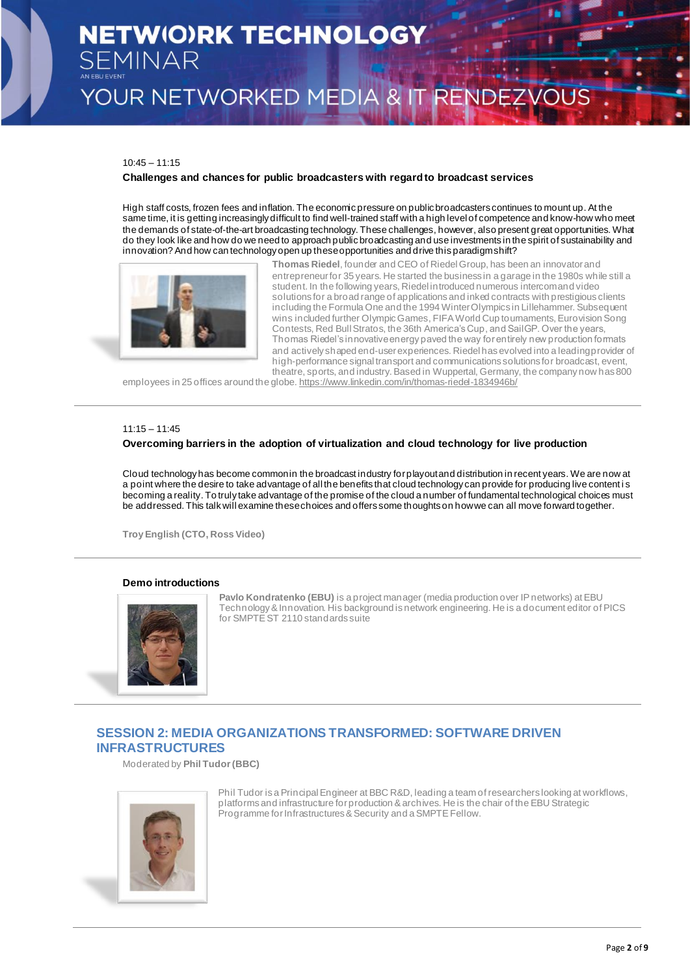# **NETWIO)RK TECHNOLOGY SEMINAR**

YOUR NETWORKED MEDIA & IT RENDEZVOUS

#### 10:45 – 11:15

#### **Challenges and chances for public broadcasters with regard to broadcast services**

High staff costs, frozen fees and inflation. The economic pressure on public broadcasters continues to mount up. At the same time, it is getting increasingly difficult to find well-trained staff with a high level of competence and know-how who meet the demands of state-of-the-art broadcasting technology. These challenges, however, also present great opportunities. What do they look like and how do we need to approach public broadcasting and use investments in the spirit of sustainability and innovation? And how can technology open up these opportunities and drive this paradigm shift?



**Thomas Riedel**, founder and CEO of Riedel Group, has been an innovator and entrepreneur for 35 years. He started the business in a garage in the 1980s while still a student. In the following years, Riedel introduced numerous intercom and video solutions for a broad range of applications and inked contracts with prestigious clients including the Formula One and the 1994 Winter Olympics in Lillehammer. Subsequent wins included further Olympic Games, FIFA World Cup tournaments, Eurovision Song Contests, Red Bull Stratos, the 36th America's Cup, and SailGP. Over the years, Thomas Riedel's innovative energy paved the way for entirely new production formats and actively shaped end-user experiences. Riedel has evolved into a leading provider of high-performance signal transport and communications solutions for broadcast, event, theatre, sports, and industry. Based in Wuppertal, Germany, the company now has 800

employees in 25 offices around the globe. <https://www.linkedin.com/in/thomas-riedel-1834946b/>

#### $11:15 - 11:45$

## **Overcoming barriers in the adoption of virtualization and cloud technology for live production**

Cloud technology has become common in the broadcast industry for playout and distribution in recent years. We are now at a point where the desire to take advantage of all the benefits that cloud technology can provide for producing live content i s becoming a reality. To truly take advantage of the promise of the cloud a number of fundamental technological choices must be addressed. This talk will examine these choices and offers some thoughts on how we can all move forward together.

**Troy English (CTO, Ross Video)**

#### **Demo introductions**



**Pavlo Kondratenko (EBU)** is a project manager (media production over IP networks) at EBU Technology & Innovation. His background is network engineering. He is a document editor of PICS for SMPTE ST 2110 standards suite

## **SESSION 2: MEDIA ORGANIZATIONS TRANSFORMED: SOFTWARE DRIVEN INFRASTRUCTURES**

Moderated by **Phil Tudor (BBC)**



Phil Tudor is a Principal Engineer at BBC R&D, leading a team of researchers looking at workflows, platforms and infrastructure for production & archives. He is the chair of the EBU Strategic Programme for Infrastructures & Security and a SMPTE Fellow.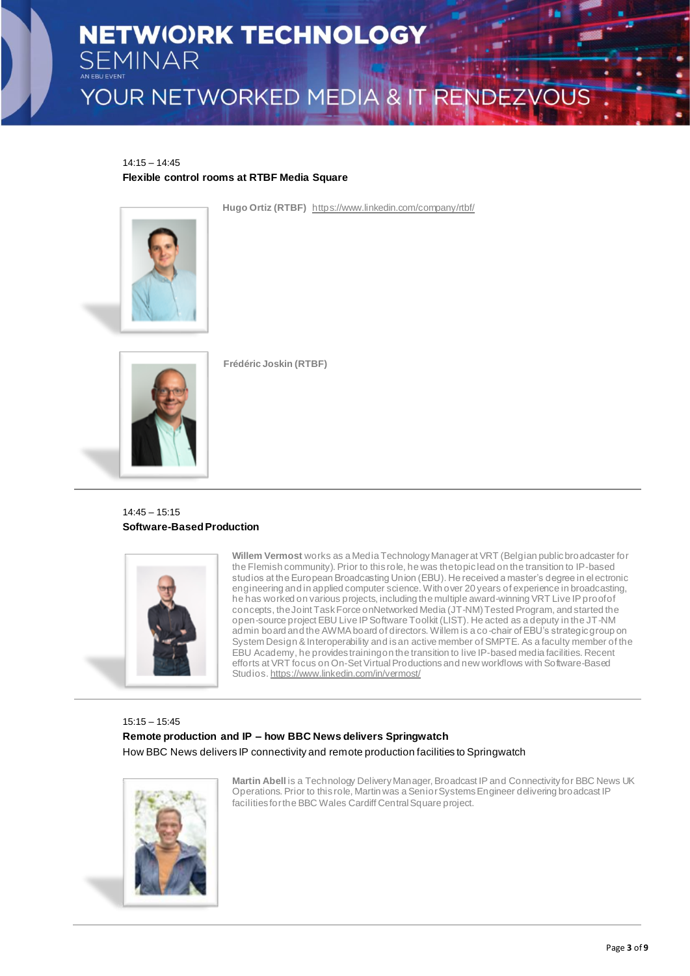14:15 – 14:45 **Flexible control rooms at RTBF Media Square**



**Hugo Ortiz (RTBF)** <https://www.linkedin.com/company/rtbf/>



**Frédéric Joskin (RTBF)**

14:45 – 15:15 **Software-Based Production**



**Willem Vermost** works as a Media Technology Manager at VRT (Belgian public broadcaster for the Flemish community). Prior to this role, he was the topic lead on the transition to IP-based studios at the European Broadcasting Union (EBU). He received a master's degree in electronic engineering and in applied computer science. With over 20 years of experience in broadcasting, he has worked on various projects, including the multiple award-winning VRT Live IP proof of concepts, the Joint Task Force onNetworked Media (JT-NM) Tested Program, and started the open-source project EBU Live IP Software Toolkit (LIST). He acted as a deputy in the JT-NM admin board and the AWMA board of directors. Willem is a co-chair of EBU's strategic group on System Design & Interoperability and is an active member of SMPTE. As a faculty member of the EBU Academy, he provides training on the transition to live IP-based media facilities. Recent efforts at VRT focus on On-Set Virtual Productions and new workflows with Software-Based Studios. <https://www.linkedin.com/in/vermost/>

15:15 – 15:45 **Remote production and IP – how BBC News delivers Springwatch** How BBC News delivers IP connectivity and remote production facilities to Springwatch



**Martin Abell** is a Technology Delivery Manager, Broadcast IP and Connectivity for BBC News UK Operations. Prior to this role, Martin was a Senior Systems Engineer delivering broadcast IP facilities for the BBC Wales Cardiff Central Square project.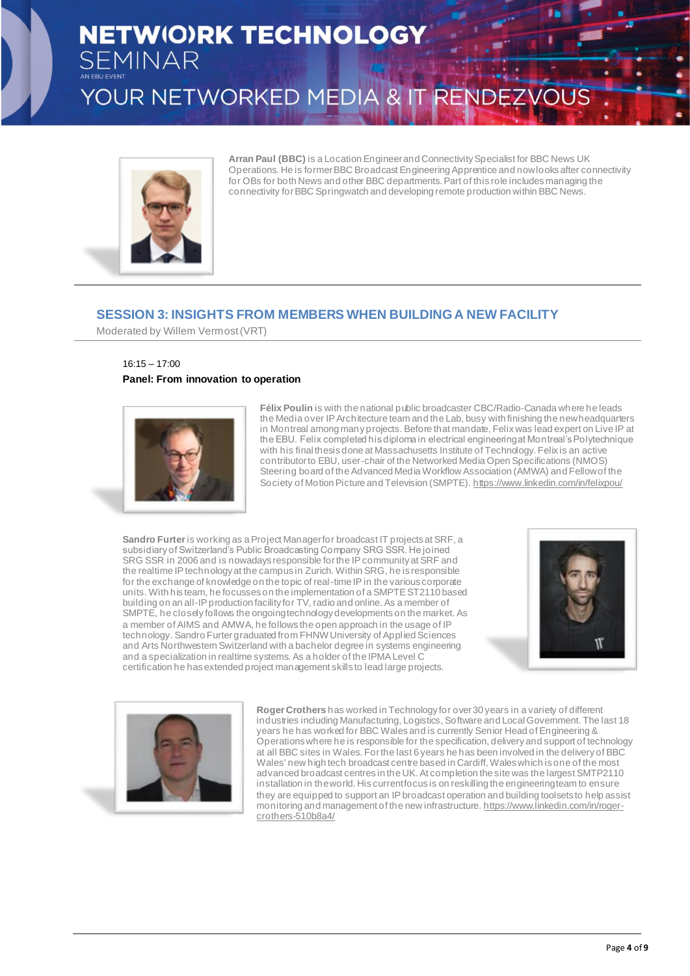## **NETWIO)RK TECHNOLOGY SEMINAR** YOUR NETWORKED MEDIA & IT RENDEZVOUS



**Arran Paul (BBC)** is a Location Engineer and Connectivity Specialist for BBC News UK Operations. He is former BBC Broadcast Engineering Apprentice and now looks after connectivity for OBs for both News and other BBC departments. Part of this role includes managing the connectivity for BBC Springwatch and developing remote production within BBC News.

## **SESSION 3: INSIGHTS FROM MEMBERS WHEN BUILDING A NEW FACILITY**

Moderated by Willem Vermost (VRT)

## 16:15 – 17:00 **Panel: From innovation to operation**



**Félix Poulin** is with the national public broadcaster CBC/Radio-Canada where he leads the Media over IP Architecture team and the Lab, busy with finishing the new headquarters in Montreal among many projects. Before that mandate, Felix was lead expert on Live IP at the EBU. Felix completed his diploma in electrical engineering at Montreal's Polytechnique with his final thesis done at Massachusetts Institute of Technology. Felix is an active contributor to EBU, user-chair of the Networked Media Open Specifications (NMOS) Steering board of the Advanced Media Workflow Association (AMWA) and Fellow of the Society of Motion Picture and Television (SMPTE). <https://www.linkedin.com/in/felixpou/>

**Sandro Furter**is working as a Project Manager for broadcast IT projects at SRF, a subsidiary of Switzerland's Public Broadcasting Company SRG SSR. He joined SRG SSR in 2006 and is nowadays responsible for the IP community at SRF and the realtime IP technology at the campus in Zurich. Within SRG, he is responsible for the exchange of knowledge on the topic of real-time IP in the various corporate units. With his team, he focusses on the implementation of a SMPTE ST2110 based building on an all-IP production facility for TV, radio and online. As a member of SMPTE, he closely follows the ongoing technology developments on the market. As a member of AIMS and AMWA, he follows the open approach in the usage of IP technology. Sandro Furter graduated from FHNW University of Appl ied Sciences and Arts Northwestern Switzerland with a bachelor degree in systems engineering and a specialization in realtime systems. As a holder of the IPMA Level C certification he has extended project management skills to lead large projects.





**Roger Crothers** has worked in Technology for over 30 years in a variety of different industries including Manufacturing, Logistics, Software and Local Government. The last 18 years he has worked for BBC Wales and is currently Senior Head of Engineering & Operations where he is responsible for the specification, delivery and support of technology at all BBC sites in Wales. For the last 6 years he has been involved in the delivery of BBC Wales' new high tech broadcast centre based in Cardiff, Wales which is one of the most advanced broadcast centres in the UK. At completion the site was the largest SMTP2110 installation in the world. His current focus is on reskilling the engineering team to ensure they are equipped to support an IP broadcast operation and building toolsets to help assist monitoring and management of the new infrastructure. [https://www.linkedin.com/in/roger](https://www.linkedin.com/in/roger-crothers-510b8a4/)[crothers-510b8a4/](https://www.linkedin.com/in/roger-crothers-510b8a4/)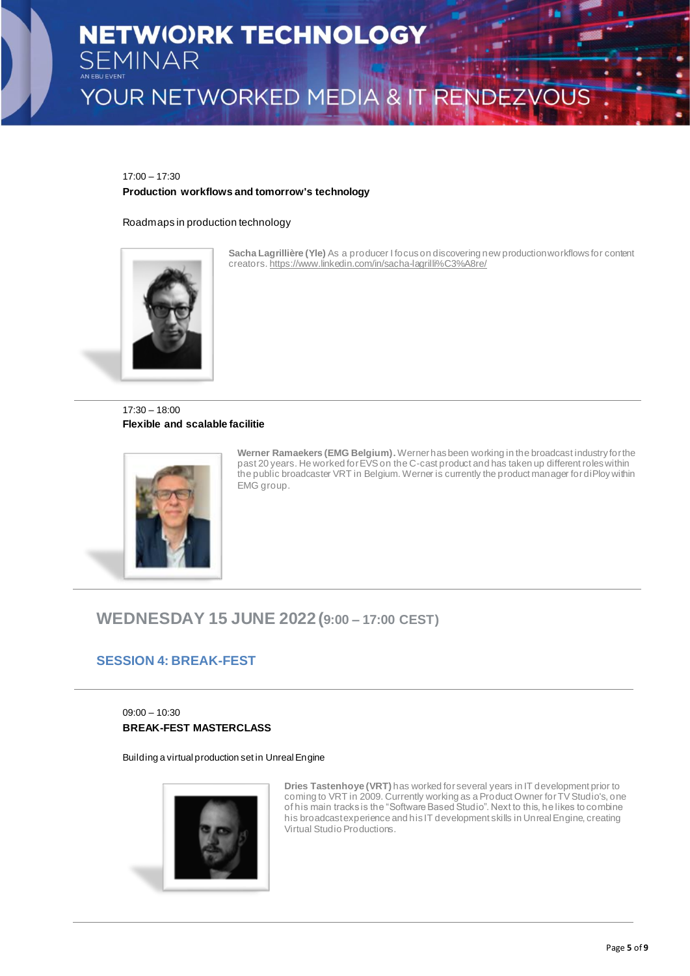17:00 – 17:30

## **Production workflows and tomorrow's technology**

Roadmaps in production technology



**Sacha Lagrillière (Yle)** As a producer I focus on discovering new production workflows for content creators. <https://www.linkedin.com/in/sacha-lagrilli%C3%A8re/>

17:30 – 18:00 **Flexible and scalable facilitie**



**Werner Ramaekers (EMG Belgium).** Werner has been working in the broadcast industry for the past 20 years. He worked for EVS on the C-cast product and has taken up different roles within the public broadcaster VRT in Belgium. Werner is currently the product manager for diPloy within EMG group.

## **WEDNESDAY 15 JUNE 2022(9:00 – 17:00 CEST)**

## **SESSION 4: BREAK-FEST**

09:00 – 10:30 **BREAK-FEST MASTERCLASS**

Building a virtual production set in Unreal Engine



**Dries Tastenhoye (VRT)** has worked for several years in IT development prior to coming to VRT in 2009. Currently working as a Product Owner for TV Studio's, one of his main tracks is the "Software Based Studio". Next to this, he likes to combine his broadcast experience and his IT development skills in Unreal Engine, creating Virtual Studio Productions.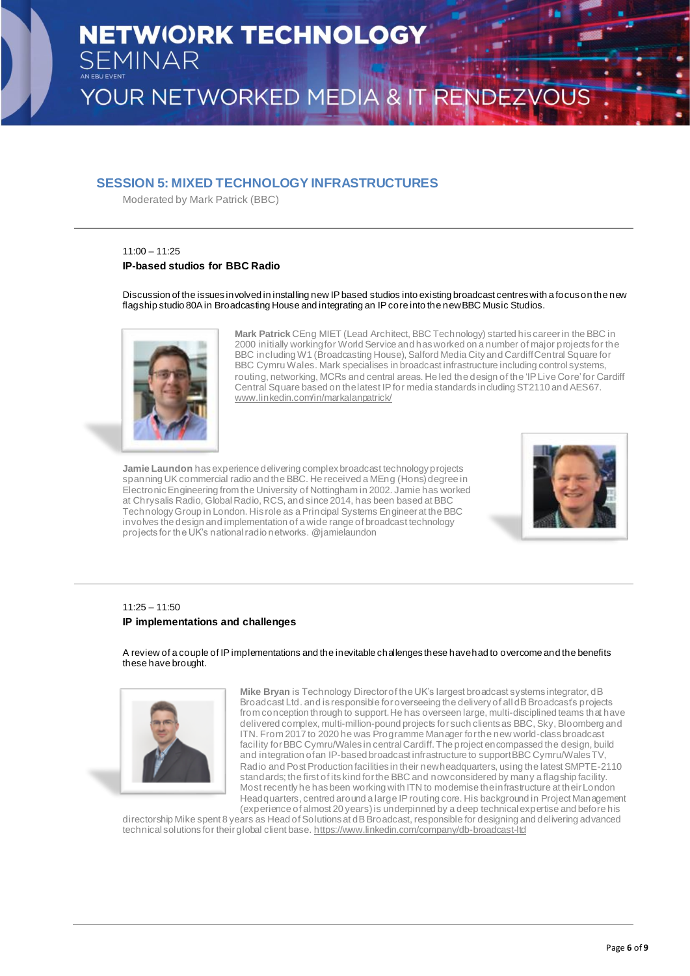## **SESSION 5: MIXED TECHNOLOGY INFRASTRUCTURES**

Moderated by Mark Patrick (BBC)

## 11:00 – 11:25 **IP-based studios for BBC Radio**

Discussion of the issues involved in installing new IP based studios into existing broadcast centres with a focus on the new flagship studio 80A in Broadcasting House and integrating an IP core into the new BBC Music Studios.



**Mark Patrick** CEng MIET (Lead Architect, BBC Technology) started his career in the BBC in 2000 initially working for World Service and has worked on a number of major projects for the BBC including W1 (Broadcasting House), Salford Media City and Cardiff Central Square for BBC Cymru Wales. Mark specialises in broadcast infrastructure including control systems, routing, networking, MCRs and central areas. He led the design of the 'IP Live Core' for Cardiff Central Square based on the latest IP for media standards including ST2110 and AES67. [www.linkedin.com/in/markalanpatrick/](http://www.linkedin.com/in/markalanpatrick/)

**Jamie Laundon** has experience delivering complex broadcast technology projects sum Edungatives in the UK commercial radio and the BBC. He received a MEng (Hons) degree in Electronic Engineering from the University of Nottingham in 2002. Jamie has worked at Chrysalis Radio, Global Radio, RCS, and since 2014, has been based at BBC Technology Group in London. His role as a Principal Systems Engineer at the BBC involves the design and implementation of a wide range of broadcast technology projects for the UK's national radio networks. @jamielaundon



## 11:25 – 11:50 **IP implementations and challenges**

A review of a couple of IP implementations and the inevitable challenges these have had to overcome and the benefits these have brought.



**Mike Bryan** is Technology Director of the UK's largest broadcast systems integrator, dB Broadcast Ltd. and is responsible for overseeing the delivery of all dB Broadcast's projects from conception through to support. He has overseen large, multi-disciplined teams that have delivered complex, multi-million-pound projects for such clients as BBC, Sky, Bloomberg and ITN. From 2017 to 2020 he was Programme Manager for the new world-class broadcast facility for BBC Cymru/Wales in central Cardiff. The project encompassed the design, build and integration of an IP-based broadcast infrastructure to support BBC Cymru/Wales TV, Radio and Post Production facilities in their new headquarters, using the latest SMPTE-2110 standards; the first of its kind for the BBC and now considered by many a flagship facility. Most recently he has been working with ITN to modernise the infrastructure at their London Headquarters, centred around a large IP routing core. His background in Project Management (experience of almost 20 years) is underpinned by a deep technical expertise and before his

directorship Mike spent 8 years as Head of Solutions at dB Broadcast, responsible for designing and delivering advanced technical solutions for their global client base. <https://www.linkedin.com/company/db-broadcast-ltd>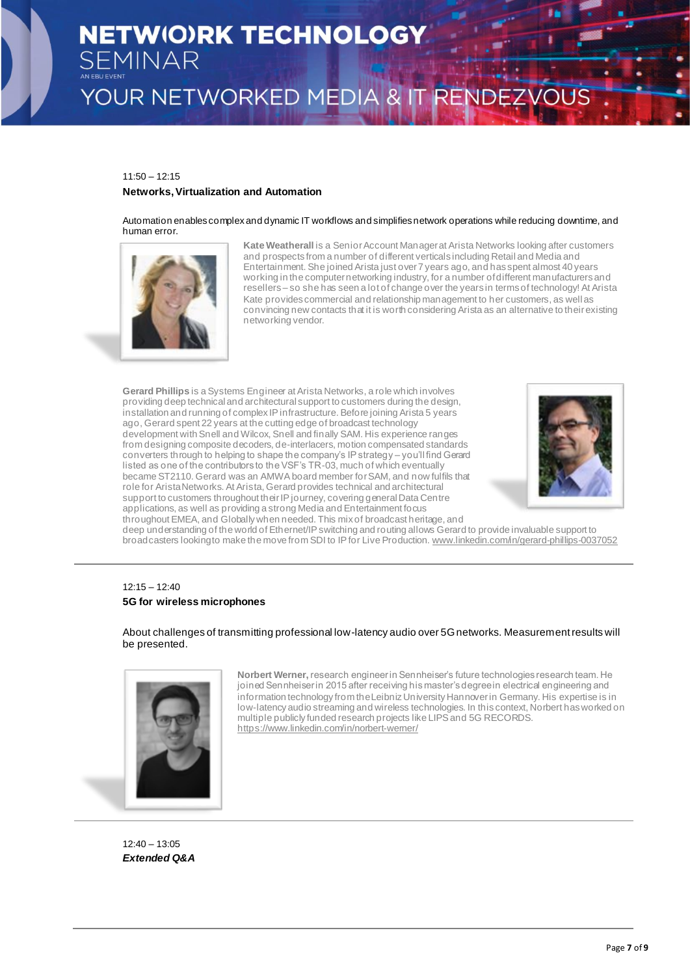## 11:50 – 12:15

#### **Networks, Virtualization and Automation**

Automation enables complex and dynamic IT workflows and simplifies network operations while reducing downtime, and human error.



**Kate Weatherall** is a Senior Account Manager at Arista Networks looking after customers and prospects from a number of different verticals including Retail and Media and Entertainment. She joined Arista just over 7 years ago, and has spent almost 40 years working in the computer networking industry, for a number of different manufacturers and resellers – so she has seen a lot of change over the years in terms of technology! At Arista Kate provides commercial and relationship management to her customers, as well as convincing new contacts that it is worth considering Arista as an alternative to their existing networking vendor.

**Gerard Phillips** is a Systems Engineer at Arista Networks, a role which involves providing deep technical and architectural support to customers during the design, installation and running of complex IP infrastructure. Before joining Arista 5 years ago, Gerard spent 22 years at the cutting edge of broadcast technology development with Snell and Wilcox, Snell and finally SAM. His experience ranges from designing composite decoders, de-interlacers, motion compensated standards converters through to helping to shape the company's IP strategy – you'll find Gerard listed as one of the contributors to the VSF's TR-03, much of which eventually became ST2110. Gerard was an AMWA board member for SAM, and now fulfils that role for Arista Networks. At Arista, Gerard provides technical and architectural support to customers throughout their IP journey, covering general Data Centre applications, as well as providing a strong Media and Entertainment focus throughout EMEA, and Globally when needed. This mix of broadcast heritage, and



deep understanding of the world of Ethernet/IP switching and routing allows Gerard to provide invaluable support to broadcasters looking to make the move from SDI to IP for Live Production. [www.linkedin.com/in/gerard-phillips-0037052](http://www.linkedin.com/in/gerard-phillips-0037052)

## 12:15 – 12:40 **5G for wireless microphones**

About challenges of transmitting professional low-latency audio over 5G networks. Measurement results will be presented.



**Norbert Werner,** research engineer in Sennheiser's future technologies research team. He joined Sennheiser in 2015 after receiving his master's degree in electrical engineering and information technology from the Leibniz University Hannover in Germany. His expertise is in low-latency audio streaming and wireless technologies. In this context, Norbert has worked on multiple publicly funded research projects like LIPS and 5G RECORDS. <https://www.linkedin.com/in/norbert-werner/>

12:40 – 13:05 *Extended Q&A*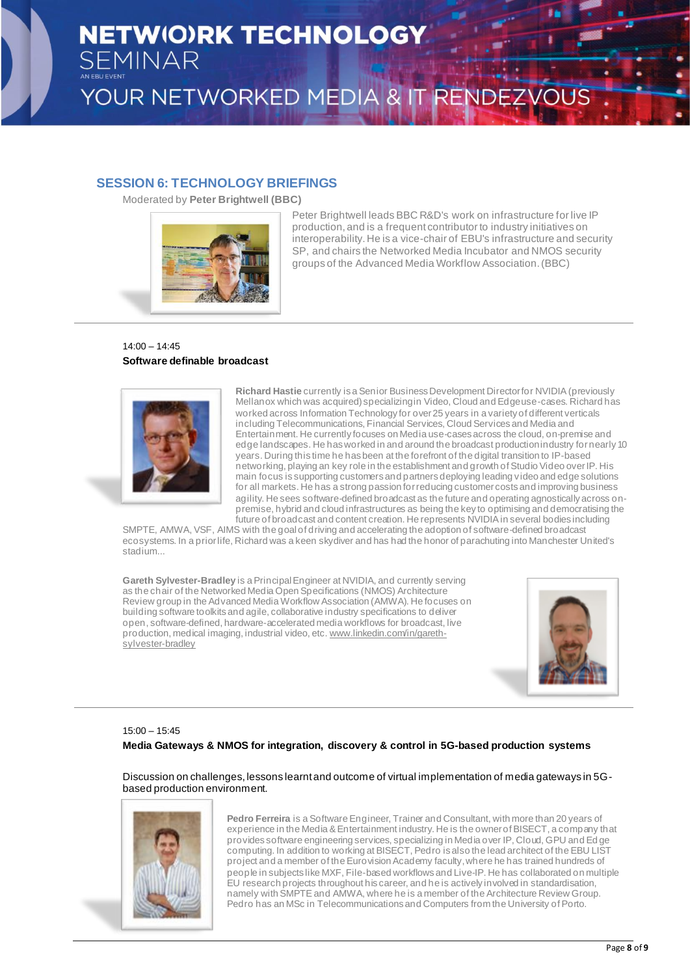## **SESSION 6: TECHNOLOGY BRIEFINGS**

Moderated by **Peter Brightwell (BBC)**



Peter Brightwell leads BBC R&D's work on infrastructure for live IP production, and is a frequent contributor to industry initiatives on interoperability. He is a vice-chair of EBU's infrastructure and security SP, and chairs the Networked Media Incubator and NMOS security groups of the Advanced Media Workflow Association. (BBC)

## 14:00 – 14:45 **Software definable broadcast**



**Richard Hastie** currently is a Senior Business Development Director for NVIDIA (previously Mellanox which was acquired) specializing in Video, Cloud and Edge use-cases. Richard has worked across Information Technology for over 25 years in a variety of different verticals including Telecommunications, Financial Services, Cloud Services and Media and Entertainment. He currently focuses on Media use-cases across the cloud, on-premise and edge landscapes. He has worked in and around the broadcast production industry for nearly 10 years. During this time he has been at the forefront of the digital transition to IP-based networking, playing an key role in the establishment and growth of Studio Video over IP. His main focus is supporting customers and partners deploying leading video and edge solutions for all markets. He has a strong passion for reducing customer costs and improving business agility. He sees software-defined broadcast as the future and operating agnostically across onpremise, hybrid and cloud infrastructures as being the key to optimising and democratising the future of broadcast and content creation. He represents NVIDIA in several bodies including

SMPTE, AMWA, VSF, AIMS with the goal of driving and accelerating the adoption of software-defined broadcast ecosystems. In a prior life, Richard was a keen skydiver and has had the honor of parachuting into Manchester United's stadium...

**Gareth Sylvester-Bradley** is a Principal Engineer at NVIDIA, and currently serving as the chair of the Networked Media Open Specifications (NMOS) Architecture Review group in the Advanced Media Workflow Association (AMWA). He focuses on building software toolkits and agile, collaborative industry specifications to deliver open, software-defined, hardware-accelerated media workflows for broadcast, live production, medical imaging, industrial video, etc. [www.linkedin.com/in/gareth](http://www.linkedin.com/in/gareth-sylvester-bradley)[sylvester-bradley](http://www.linkedin.com/in/gareth-sylvester-bradley)



## 15:00 – 15:45 **Media Gateways & NMOS for integration, discovery & control in 5G-based production systems**

Discussion on challenges, lessons learnt and outcome of virtual implementation of media gateways in 5Gbased production environment.



**Pedro Ferreira** is a Software Engineer, Trainer and Consultant, with more than 20 years of experience in the Media & Entertainment industry. He is the owner of BISECT, a company that provides software engineering services, specializing in Media over IP, Cloud, GPU and Ed ge computing. In addition to working at BISECT, Pedro is also the lead architect of the EBU LIST project and a member of the Eurovision Academy faculty, where he has trained hundreds of people in subjects like MXF, File-based workflows and Live-IP. He has collaborated on multiple EU research projects throughout his career, and he is actively involved in standardisation, namely with SMPTE and AMWA, where he is a member of the Architecture Review Group. Pedro has an MSc in Telecommunications and Computers from the University of Porto.